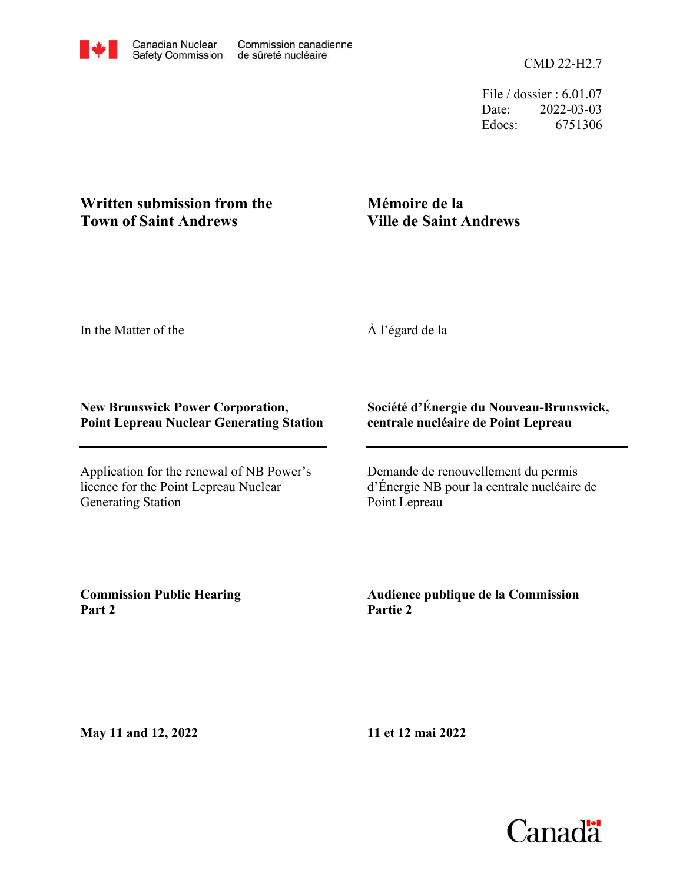CMD 22-H2.7

File / dossier : 6.01.07 Date: 2022-03-03 Edocs: 6751306

## **Written submission from the Town of Saint Andrews**

## **Mémoire de la Ville de Saint Andrews**

In the Matter of the

À l'égard de la

### **New Brunswick Power Corporation, Point Lepreau Nuclear Generating Station**

Application for the renewal of NB Power's licence for the Point Lepreau Nuclear Generating Station

### **Société d'Énergie du Nouveau-Brunswick, centrale nucléaire de Point Lepreau**

Demande de renouvellement du permis d'Énergie NB pour la centrale nucléaire de Point Lepreau

**Commission Public Hearing Part 2**

**Audience publique de la Commission Partie 2**

**May 11 and 12, 2022**

**11 et 12 mai 2022**

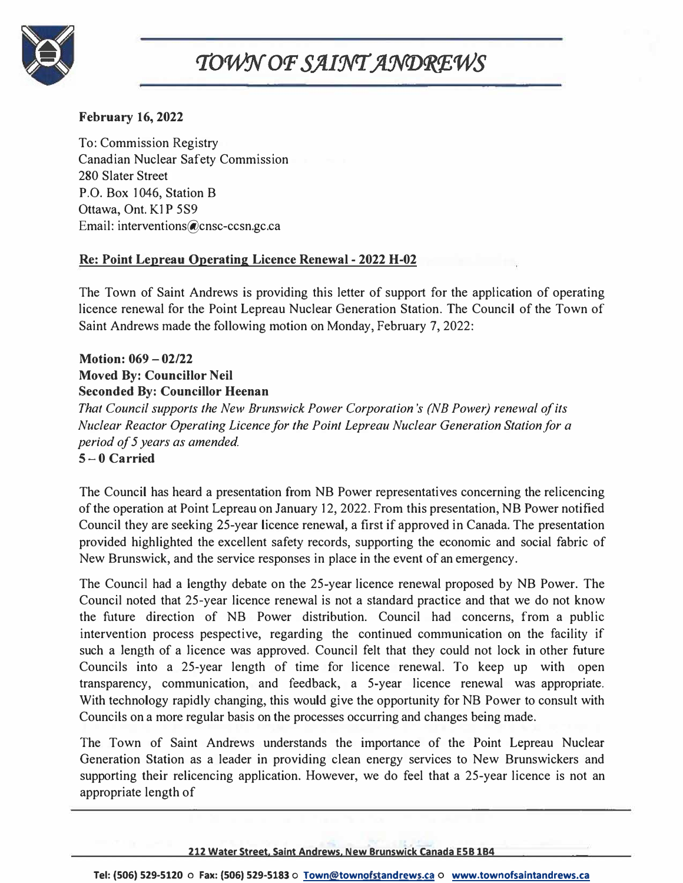

# TOWN OF SAINT ANDREWS

#### **February 16, 2022**

To: Commission Registry Canadian Nuclear Safety Commission 280 Slater Street P.O. Box 1046, Station B Ottawa, Ont. K1P 5S9 Email: interventions@cnsc-ccsn.gc.ca

#### **Re: Point Lepreau Operating Licence Renewal - 2022 H-02**

The Town of Saint Andrews is providing this letter of support for the application of operating licence renewal for the Point Lepreau Nuclear Generation Station. The Council of the Town of Saint Andrews made the following motion on Monday, February 7, 2022:

#### **Motion: 069 - 02/22 Moved By: Councillor Neil Seconded By: Councillor Heenan**

*That Council supports the New Brunswick Power Corporation's (NB Power) renewal of its Nuclear Reactor Operating Licence for the Point Lepreau Nuclear Generation Station for a period of 5 years as amended.*  **5-0 Carried**

The Council has heard a presentation from NB Power representatives concerning the relicencing of the operation at Point Lepreau on January 12, 2022. From this presentation, NB Power notified Council they are seeking 25-year licence renewal, a first if approved in Canada. The presentation provided highlighted the excellent safety records, supporting the economic and social fabric of New Brunswick, and the service responses in place in the event of an emergency.

The Council had a lengthy debate on the 25-year licence renewal proposed by NB Power. The Council noted that 25-year licence renewal is not a standard practice and that we do not know the future direction of NB Power distribution. Council had concerns, from a public intervention process pespective, regarding the continued communication on the facility if such a length of a licence was approved. Council felt that they could not lock in other future Councils into a 25-year length of time for licence renewal. To keep up with open transparency, communication, and feedback, a 5-year licence renewal was appropriate. With technology rapidly changing, this would give the opportunity for NB Power to consult with Councils on a more regular basis on the processes occurring and changes being made.

The Town of Saint Andrews understands the importance of the Point Lepreau Nuclear Generation Station as a leader in providing clean energy services to New Brunswickers and supporting their relicencing application. However, we do feel that a 25-year licence is not an appropriate length of

#### **212 Water Street, Saint Andrews, New Brunswick Canada ESB 184**